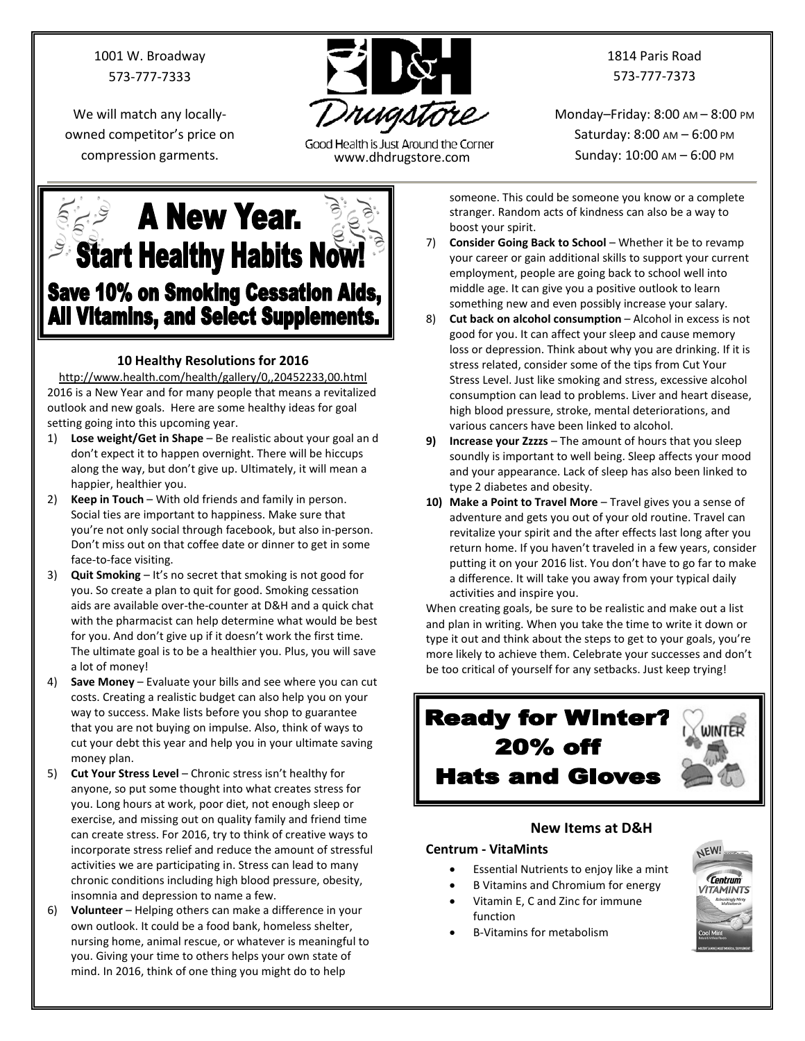1001 W. Broadway 573-777-7333

We will match any locallyowned competitor's price on



Good Health is Just Around the Corner compression garments. www.dhdrugstore.com

1814 Paris Road 573-777-7373

Monday–Friday: 8:00 AM – 8:00 PM Saturday: 8:00 AM – 6:00 PM Sunday: 10:00 AM – 6:00 PM

**A New Year. Start Healthy Habits Now! Save 10% on Smoking Cessation Aids, All Vitamins, and Select Supplements.** 

## **10 Healthy Resolutions for 2016**

<http://www.health.com/health/gallery/0,,20452233,00.html> 2016 is a New Year and for many people that means a revitalized outlook and new goals. Here are some healthy ideas for goal setting going into this upcoming year.

- 1) **Lose weight/Get in Shape** Be realistic about your goal an d don't expect it to happen overnight. There will be hiccups along the way, but don't give up. Ultimately, it will mean a happier, healthier you.
- 2) **Keep in Touch** With old friends and family in person. Social ties are important to happiness. Make sure that you're not only social through facebook, but also in-person. Don't miss out on that coffee date or dinner to get in some face-to-face visiting.
- 3) **Quit Smoking** It's no secret that smoking is not good for you. So create a plan to quit for good. Smoking cessation aids are available over-the-counter at D&H and a quick chat with the pharmacist can help determine what would be best for you. And don't give up if it doesn't work the first time. The ultimate goal is to be a healthier you. Plus, you will save a lot of money!
- 4) **Save Money** Evaluate your bills and see where you can cut costs. Creating a realistic budget can also help you on your way to success. Make lists before you shop to guarantee that you are not buying on impulse. Also, think of ways to cut your debt this year and help you in your ultimate saving money plan.
- 5) **Cut Your Stress Level** Chronic stress isn't healthy for anyone, so put some thought into what creates stress for you. Long hours at work, poor diet, not enough sleep or exercise, and missing out on quality family and friend time can create stress. For 2016, try to think of creative ways to incorporate stress relief and reduce the amount of stressful activities we are participating in. Stress can lead to many chronic conditions including high blood pressure, obesity, insomnia and depression to name a few.
- 6) **Volunteer** Helping others can make a difference in your own outlook. It could be a food bank, homeless shelter, nursing home, animal rescue, or whatever is meaningful to you. Giving your time to others helps your own state of mind. In 2016, think of one thing you might do to help

someone. This could be someone you know or a complete stranger. Random acts of kindness can also be a way to boost your spirit.

- 7) **Consider Going Back to School** Whether it be to revamp your career or gain additional skills to support your current employment, people are going back to school well into middle age. It can give you a positive outlook to learn something new and even possibly increase your salary.
- 8) **Cut back on alcohol consumption** Alcohol in excess is not good for you. It can affect your sleep and cause memory loss or depression. Think about why you are drinking. If it is stress related, consider some of the tips from Cut Your Stress Level. Just like smoking and stress, excessive alcohol consumption can lead to problems. Liver and heart disease, high blood pressure, stroke, mental deteriorations, and various cancers have been linked to alcohol.
- **9) Increase your Zzzzs** The amount of hours that you sleep soundly is important to well being. Sleep affects your mood and your appearance. Lack of sleep has also been linked to type 2 diabetes and obesity.
- **10) Make a Point to Travel More** Travel gives you a sense of adventure and gets you out of your old routine. Travel can revitalize your spirit and the after effects last long after you return home. If you haven't traveled in a few years, consider putting it on your 2016 list. You don't have to go far to make a difference. It will take you away from your typical daily activities and inspire you.

When creating goals, be sure to be realistic and make out a list and plan in writing. When you take the time to write it down or type it out and think about the steps to get to your goals, you're more likely to achieve them. Celebrate your successes and don't be too critical of yourself for any setbacks. Just keep trying!

## **Ready for Winter? 20% off Hats and Gloves**

### **New Items at D&H**

## **Centrum - VitaMints**

- Essential Nutrients to enjoy like a mint
- B Vitamins and Chromium for energy
- Vitamin E, C and Zinc for immune
	- function • B-Vitamins for metabolism